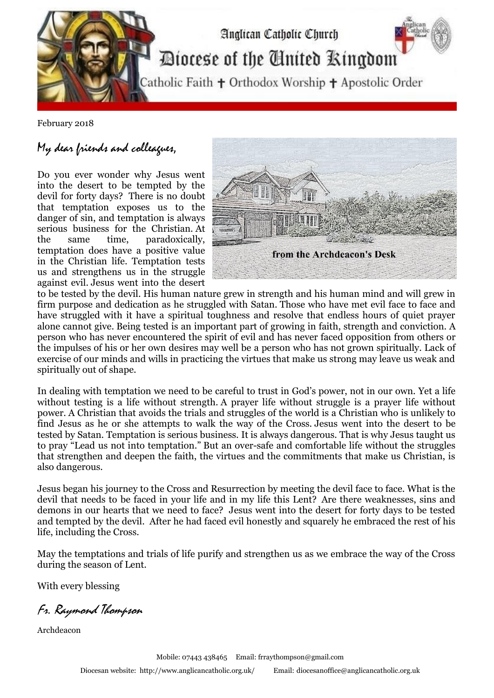

February 2018

## My dear friends and colleagues,

Do you ever wonder why Jesus went into the desert to be tempted by the devil for forty days? There is no doubt that temptation exposes us to the danger of sin, and temptation is always serious business for the Christian. At the same time, paradoxically, temptation does have a positive value in the Christian life. Temptation tests us and strengthens us in the struggle against evil. Jesus went into the desert



to be tested by the devil. His human nature grew in strength and his human mind and will grew in firm purpose and dedication as he struggled with Satan. Those who have met evil face to face and have struggled with it have a spiritual toughness and resolve that endless hours of quiet prayer alone cannot give. Being tested is an important part of growing in faith, strength and conviction. A person who has never encountered the spirit of evil and has never faced opposition from others or the impulses of his or her own desires may well be a person who has not grown spiritually. Lack of exercise of our minds and wills in practicing the virtues that make us strong may leave us weak and spiritually out of shape.

In dealing with temptation we need to be careful to trust in God's power, not in our own. Yet a life without testing is a life without strength. A prayer life without struggle is a prayer life without power. A Christian that avoids the trials and struggles of the world is a Christian who is unlikely to find Jesus as he or she attempts to walk the way of the Cross. Jesus went into the desert to be tested by Satan. Temptation is serious business. It is always dangerous. That is why Jesus taught us to pray "Lead us not into temptation." But an over-safe and comfortable life without the struggles that strengthen and deepen the faith, the virtues and the commitments that make us Christian, is also dangerous.

Jesus began his journey to the Cross and Resurrection by meeting the devil face to face. What is the devil that needs to be faced in your life and in my life this Lent? Are there weaknesses, sins and demons in our hearts that we need to face? Jesus went into the desert for forty days to be tested and tempted by the devil. After he had faced evil honestly and squarely he embraced the rest of his life, including the Cross.

May the temptations and trials of life purify and strengthen us as we embrace the way of the Cross during the season of Lent.

With every blessing

Fr. Raymond Thompson

Archdeacon